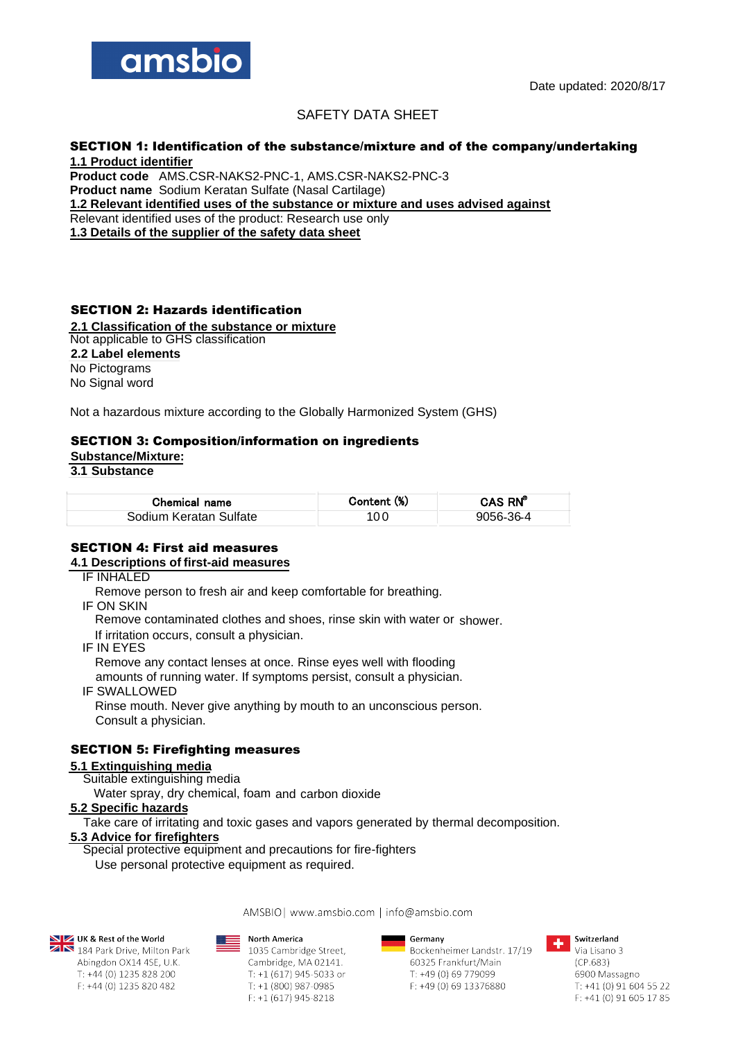

# SAFETY DATA SHEET

# SECTION 1: Identification of the substance/mixture and of the company/undertaking

**1.1 Product identifier Product code** AMS.CSR-NAKS2-PNC-1, AMS.CSR-NAKS2-PNC-3 **Product name** Sodium Keratan Sulfate (Nasal Cartilage) **1.2 Relevant identified uses of the substance or mixture and uses advised against** Relevant identified uses of the product: Research use only **1.3 Details of the supplier of the safety data sheet**

# SECTION 2: Hazards identification

**2.1 Classification of the substance or mixture** Not applicable to GHS classification **2.2 Label elements** No Pictograms

No Signal word

Not a hazardous mixture according to the Globally Harmonized System (GHS)

#### SECTION 3: Composition/information on ingredients

**Substance/Mixture:**

**3.1 Substance**

| Chemical name          | Content (%) | CAS RN <sup>®</sup> |
|------------------------|-------------|---------------------|
| Sodium Keratan Sulfate | 100         | 9056-36-4           |

#### SECTION 4: First aid measures

## **4.1 Descriptions of first-aid measures**

IF INHALED

Remove person to fresh air and keep comfortable for breathing.

IF ON SKIN

Remove contaminated clothes and shoes, rinse skin with water or shower.

If irritation occurs, consult a physician.

IF IN EYES

Remove any contact lenses at once. Rinse eyes well with flooding amounts of running water. If symptoms persist, consult a physician.

IF SWALLOWED

Rinse mouth. Never give anything by mouth to an unconscious person. Consult a physician.

# SECTION 5: Firefighting measures

#### **5.1 Extinguishing media**

Suitable extinguishing media

Water spray, dry chemical, foam and carbon dioxide

#### **5.2 Specific hazards**

Take care of irritating and toxic gases and vapors generated by thermal decomposition.

AMSBIO | www.amsbio.com | info@amsbio.com

# **5.3 Advice for firefighters**

Special protective equipment and precautions for fire-fighters

Use personal protective equipment as required.

**NEX** UK & Rest of the World<br>**ZAN** 184 Park Drive, Milton Park

Abingdon OX14 4SE, U.K. T: +44 (0) 1235 828 200

F: +44 (0) 1235 820 482

**North America** 

1035 Cambridge Street, Cambridge, MA 02141. T: +1 (617) 945-5033 or  $T: +1(800)$  987-0985  $F: +1(617)$  945-8218

Germany

Bockenheimer Landstr. 17/19 60325 Frankfurt/Main T: +49 (0) 69 779099 F: +49 (0) 69 13376880



Switzerland Via Lisano 3  $(CP.683)$ 6900 Massagno  $T: +41(0)916045522$ F: +41 (0) 91 605 17 85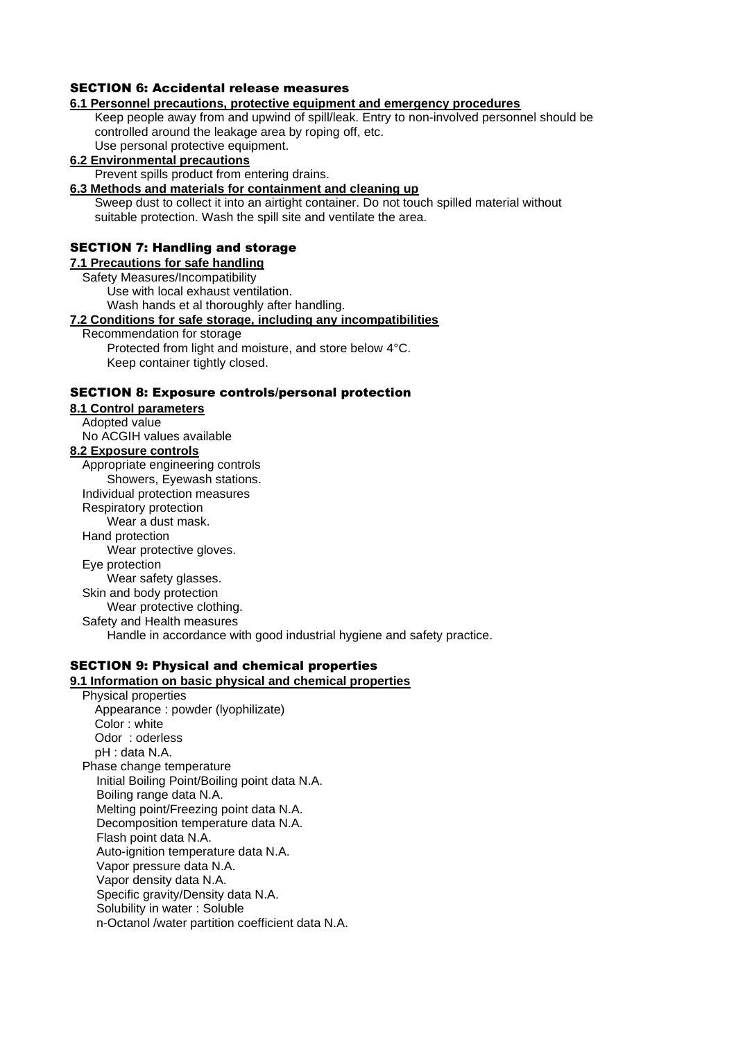# SECTION 6: Accidental release measures

#### **6.1 Personnel precautions, protective equipment and emergency procedures**

Keep people away from and upwind of spill/leak. Entry to non-involved personnel should be controlled around the leakage area by roping off, etc. Use personal protective equipment.

#### **6.2 Environmental precautions**

Prevent spills product from entering drains.

**6.3 Methods and materials for containment and cleaning up**

Sweep dust to collect it into an airtight container. Do not touch spilled material without suitable protection. Wash the spill site and ventilate the area.

#### SECTION 7: Handling and storage

**7.1 Precautions for safe handling**

Safety Measures/Incompatibility

Use with local exhaust ventilation.

Wash hands et al thoroughly after handling.

#### **7.2 Conditions for safe storage, including any incompatibilities**

Recommendation for storage

Protected from light and moisture, and store below 4°C. Keep container tightly closed.

#### SECTION 8: Exposure controls/personal protection

**8.1 Control parameters** Adopted value No ACGIH values available **8.2 Exposure controls** Appropriate engineering controls Showers, Eyewash stations. Individual protection measures Respiratory protection Wear a dust mask. Hand protection Wear protective gloves. Eye protection Wear safety glasses. Skin and body protection Wear protective clothing. Safety and Health measures

Handle in accordance with good industrial hygiene and safety practice.

# SECTION 9: Physical and chemical properties

### **9.1 Information on basic physical and chemical properties**

Physical properties Appearance : powder (lyophilizate) Color : white Odor : oderless pH : data N.A. Phase change temperature Initial Boiling Point/Boiling point data N.A. Boiling range data N.A. Melting point/Freezing point data N.A. Decomposition temperature data N.A. Flash point data N.A. Auto-ignition temperature data N.A. Vapor pressure data N.A. Vapor density data N.A. Specific gravity/Density data N.A. Solubility in water : Soluble n-Octanol /water partition coefficient data N.A.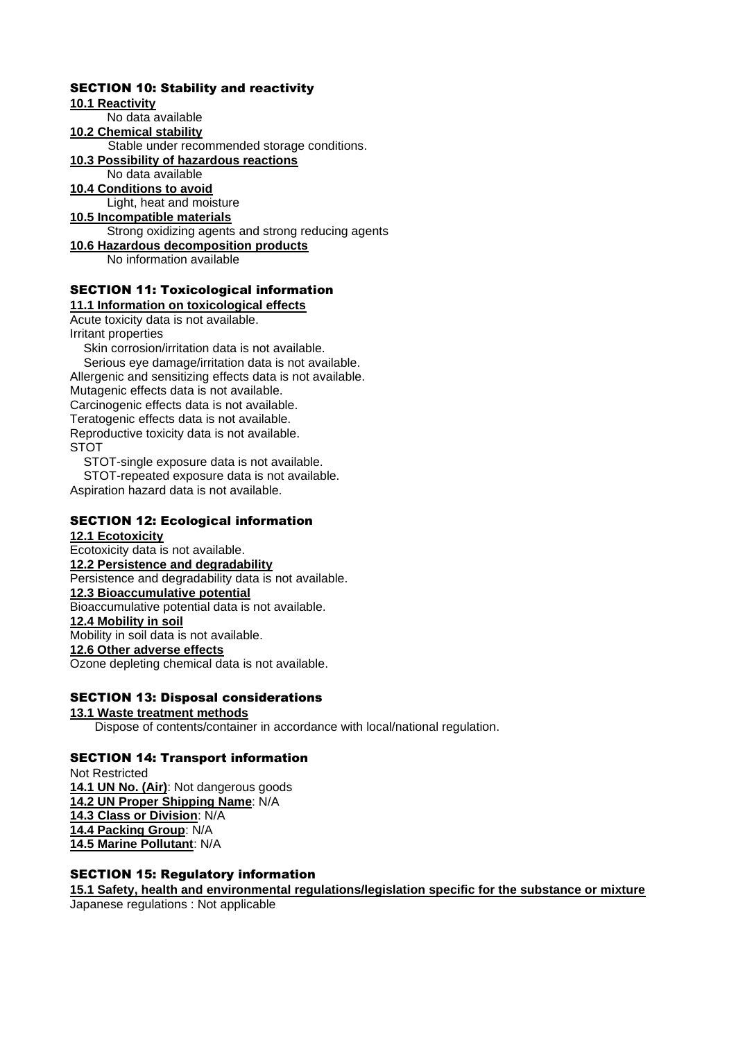# SECTION 10: Stability and reactivity

### **10.1 Reactivity**

No data available

## **10.2 Chemical stability**

Stable under recommended storage conditions.

# **10.3 Possibility of hazardous reactions**

No data available

**10.4 Conditions to avoid**

# Light, heat and moisture

**10.5 Incompatible materials** Strong oxidizing agents and strong reducing agents

# **10.6 Hazardous decomposition products**

No information available

# SECTION 11: Toxicological information

**11.1 Information on toxicological effects**

Acute toxicity data is not available. Irritant properties

Skin corrosion/irritation data is not available. Serious eye damage/irritation data is not available. Allergenic and sensitizing effects data is not available. Mutagenic effects data is not available. Carcinogenic effects data is not available. Teratogenic effects data is not available. Reproductive toxicity data is not available. **STOT** 

STOT-single exposure data is not available.

STOT-repeated exposure data is not available. Aspiration hazard data is not available.

# SECTION 12: Ecological information

## **12.1 Ecotoxicity**

Ecotoxicity data is not available. **12.2 Persistence and degradability** Persistence and degradability data is not available. **12.3 Bioaccumulative potential** Bioaccumulative potential data is not available. **12.4 Mobility in soil** Mobility in soil data is not available. **12.6 Other adverse effects** Ozone depleting chemical data is not available.

# SECTION 13: Disposal considerations

**13.1 Waste treatment methods** Dispose of contents/container in accordance with local/national regulation.

## SECTION 14: Transport information

Not Restricted **14.1 UN No. (Air)**: Not dangerous goods **14.2 UN Proper Shipping Name**: N/A **14.3 Class or Division**: N/A **14.4 Packing Group**: N/A **14.5 Marine Pollutant**: N/A

## SECTION 15: Regulatory information

**15.1 Safety, health and environmental regulations/legislation specific for the substance or mixture** Japanese regulations : Not applicable